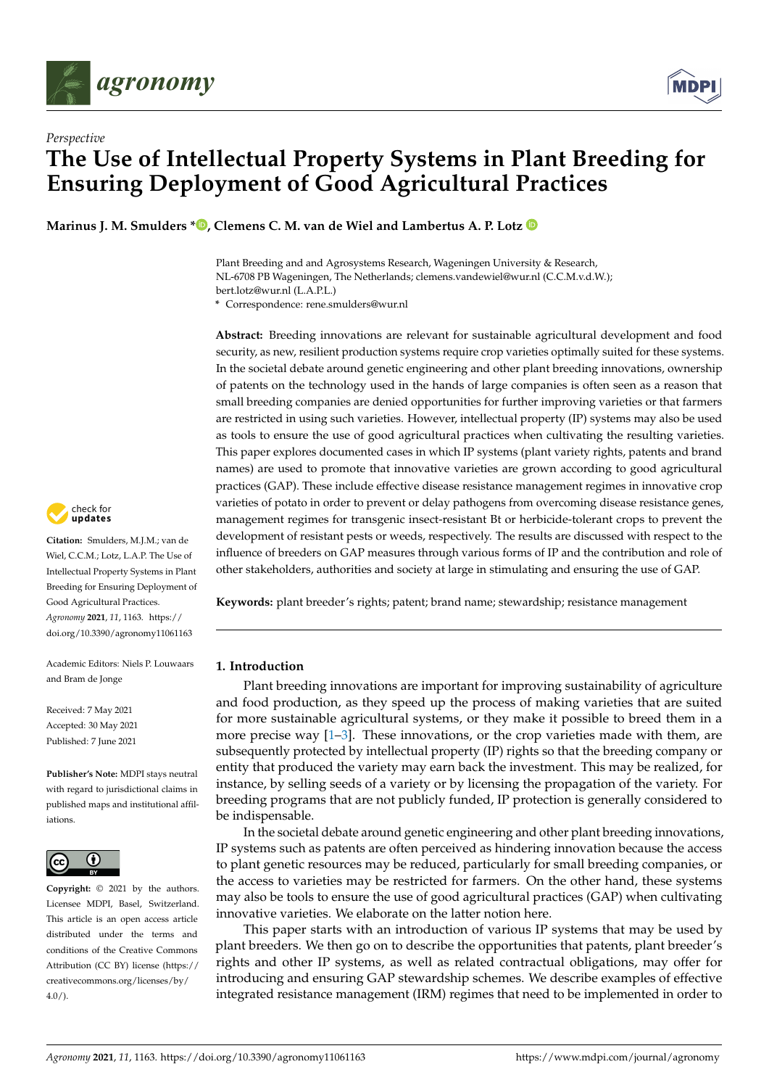



# *Perspective* **The Use of Intellectual Property Systems in Plant Breeding for Ensuring Deployment of Good Agricultural Practices**

**Marinus J. M. Smulders \***  $\bullet$ [,](https://orcid.org/0000-0002-8549-6046) Clemens C. M. van de Wiel and Lambertus A. P. Lotz  $\bullet$ 

Plant Breeding and and Agrosystems Research, Wageningen University & Research, NL-6708 PB Wageningen, The Netherlands; clemens.vandewiel@wur.nl (C.C.M.v.d.W.); bert.lotz@wur.nl (L.A.P.L.)

**\*** Correspondence: rene.smulders@wur.nl

**Abstract:** Breeding innovations are relevant for sustainable agricultural development and food security, as new, resilient production systems require crop varieties optimally suited for these systems. In the societal debate around genetic engineering and other plant breeding innovations, ownership of patents on the technology used in the hands of large companies is often seen as a reason that small breeding companies are denied opportunities for further improving varieties or that farmers are restricted in using such varieties. However, intellectual property (IP) systems may also be used as tools to ensure the use of good agricultural practices when cultivating the resulting varieties. This paper explores documented cases in which IP systems (plant variety rights, patents and brand names) are used to promote that innovative varieties are grown according to good agricultural practices (GAP). These include effective disease resistance management regimes in innovative crop varieties of potato in order to prevent or delay pathogens from overcoming disease resistance genes, management regimes for transgenic insect-resistant Bt or herbicide-tolerant crops to prevent the development of resistant pests or weeds, respectively. The results are discussed with respect to the influence of breeders on GAP measures through various forms of IP and the contribution and role of other stakeholders, authorities and society at large in stimulating and ensuring the use of GAP.

**Keywords:** plant breeder's rights; patent; brand name; stewardship; resistance management

# **1. Introduction**

Plant breeding innovations are important for improving sustainability of agriculture and food production, as they speed up the process of making varieties that are suited for more sustainable agricultural systems, or they make it possible to breed them in a more precise way  $[1-3]$  $[1-3]$ . These innovations, or the crop varieties made with them, are subsequently protected by intellectual property (IP) rights so that the breeding company or entity that produced the variety may earn back the investment. This may be realized, for instance, by selling seeds of a variety or by licensing the propagation of the variety. For breeding programs that are not publicly funded, IP protection is generally considered to be indispensable.

In the societal debate around genetic engineering and other plant breeding innovations, IP systems such as patents are often perceived as hindering innovation because the access to plant genetic resources may be reduced, particularly for small breeding companies, or the access to varieties may be restricted for farmers. On the other hand, these systems may also be tools to ensure the use of good agricultural practices (GAP) when cultivating innovative varieties. We elaborate on the latter notion here.

This paper starts with an introduction of various IP systems that may be used by plant breeders. We then go on to describe the opportunities that patents, plant breeder's rights and other IP systems, as well as related contractual obligations, may offer for introducing and ensuring GAP stewardship schemes. We describe examples of effective integrated resistance management (IRM) regimes that need to be implemented in order to



**Citation:** Smulders, M.J.M.; van de Wiel, C.C.M.; Lotz, L.A.P. The Use of Intellectual Property Systems in Plant Breeding for Ensuring Deployment of Good Agricultural Practices. *Agronomy* **2021**, *11*, 1163. [https://](https://doi.org/10.3390/agronomy11061163) [doi.org/10.3390/agronomy11061163](https://doi.org/10.3390/agronomy11061163)

Academic Editors: Niels P. Louwaars and Bram de Jonge

Received: 7 May 2021 Accepted: 30 May 2021 Published: 7 June 2021

**Publisher's Note:** MDPI stays neutral with regard to jurisdictional claims in published maps and institutional affiliations.



**Copyright:** © 2021 by the authors. Licensee MDPI, Basel, Switzerland. This article is an open access article distributed under the terms and conditions of the Creative Commons Attribution (CC BY) license (https:/[/](https://creativecommons.org/licenses/by/4.0/) [creativecommons.org/licenses/by/](https://creativecommons.org/licenses/by/4.0/)  $4.0/$ ).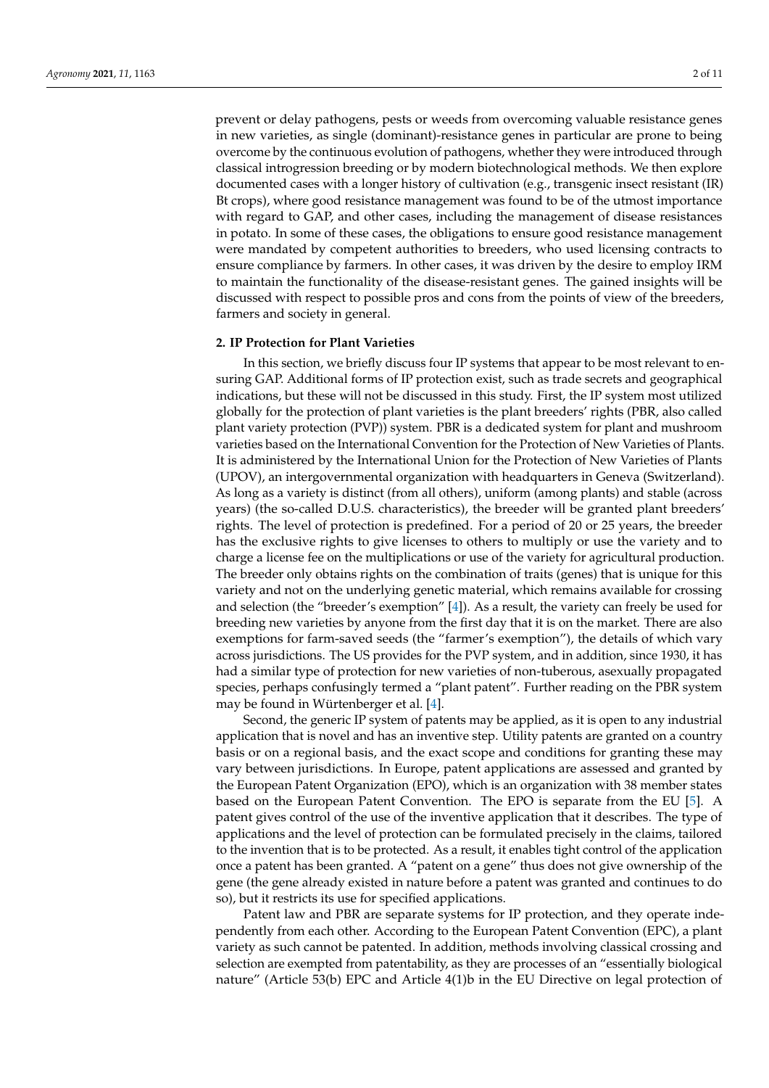prevent or delay pathogens, pests or weeds from overcoming valuable resistance genes in new varieties, as single (dominant)-resistance genes in particular are prone to being overcome by the continuous evolution of pathogens, whether they were introduced through classical introgression breeding or by modern biotechnological methods. We then explore documented cases with a longer history of cultivation (e.g., transgenic insect resistant (IR) Bt crops), where good resistance management was found to be of the utmost importance with regard to GAP, and other cases, including the management of disease resistances in potato. In some of these cases, the obligations to ensure good resistance management were mandated by competent authorities to breeders, who used licensing contracts to ensure compliance by farmers. In other cases, it was driven by the desire to employ IRM to maintain the functionality of the disease-resistant genes. The gained insights will be discussed with respect to possible pros and cons from the points of view of the breeders, farmers and society in general.

#### **2. IP Protection for Plant Varieties**

In this section, we briefly discuss four IP systems that appear to be most relevant to ensuring GAP. Additional forms of IP protection exist, such as trade secrets and geographical indications, but these will not be discussed in this study. First, the IP system most utilized globally for the protection of plant varieties is the plant breeders' rights (PBR, also called plant variety protection (PVP)) system. PBR is a dedicated system for plant and mushroom varieties based on the International Convention for the Protection of New Varieties of Plants. It is administered by the International Union for the Protection of New Varieties of Plants (UPOV), an intergovernmental organization with headquarters in Geneva (Switzerland). As long as a variety is distinct (from all others), uniform (among plants) and stable (across years) (the so-called D.U.S. characteristics), the breeder will be granted plant breeders' rights. The level of protection is predefined. For a period of 20 or 25 years, the breeder has the exclusive rights to give licenses to others to multiply or use the variety and to charge a license fee on the multiplications or use of the variety for agricultural production. The breeder only obtains rights on the combination of traits (genes) that is unique for this variety and not on the underlying genetic material, which remains available for crossing and selection (the "breeder's exemption" [\[4\]](#page-9-2)). As a result, the variety can freely be used for breeding new varieties by anyone from the first day that it is on the market. There are also exemptions for farm-saved seeds (the "farmer's exemption"), the details of which vary across jurisdictions. The US provides for the PVP system, and in addition, since 1930, it has had a similar type of protection for new varieties of non-tuberous, asexually propagated species, perhaps confusingly termed a "plant patent". Further reading on the PBR system may be found in Würtenberger et al. [\[4\]](#page-9-2).

Second, the generic IP system of patents may be applied, as it is open to any industrial application that is novel and has an inventive step. Utility patents are granted on a country basis or on a regional basis, and the exact scope and conditions for granting these may vary between jurisdictions. In Europe, patent applications are assessed and granted by the European Patent Organization (EPO), which is an organization with 38 member states based on the European Patent Convention. The EPO is separate from the EU [\[5\]](#page-9-3). A patent gives control of the use of the inventive application that it describes. The type of applications and the level of protection can be formulated precisely in the claims, tailored to the invention that is to be protected. As a result, it enables tight control of the application once a patent has been granted. A "patent on a gene" thus does not give ownership of the gene (the gene already existed in nature before a patent was granted and continues to do so), but it restricts its use for specified applications.

Patent law and PBR are separate systems for IP protection, and they operate independently from each other. According to the European Patent Convention (EPC), a plant variety as such cannot be patented. In addition, methods involving classical crossing and selection are exempted from patentability, as they are processes of an "essentially biological nature" (Article 53(b) EPC and Article 4(1)b in the EU Directive on legal protection of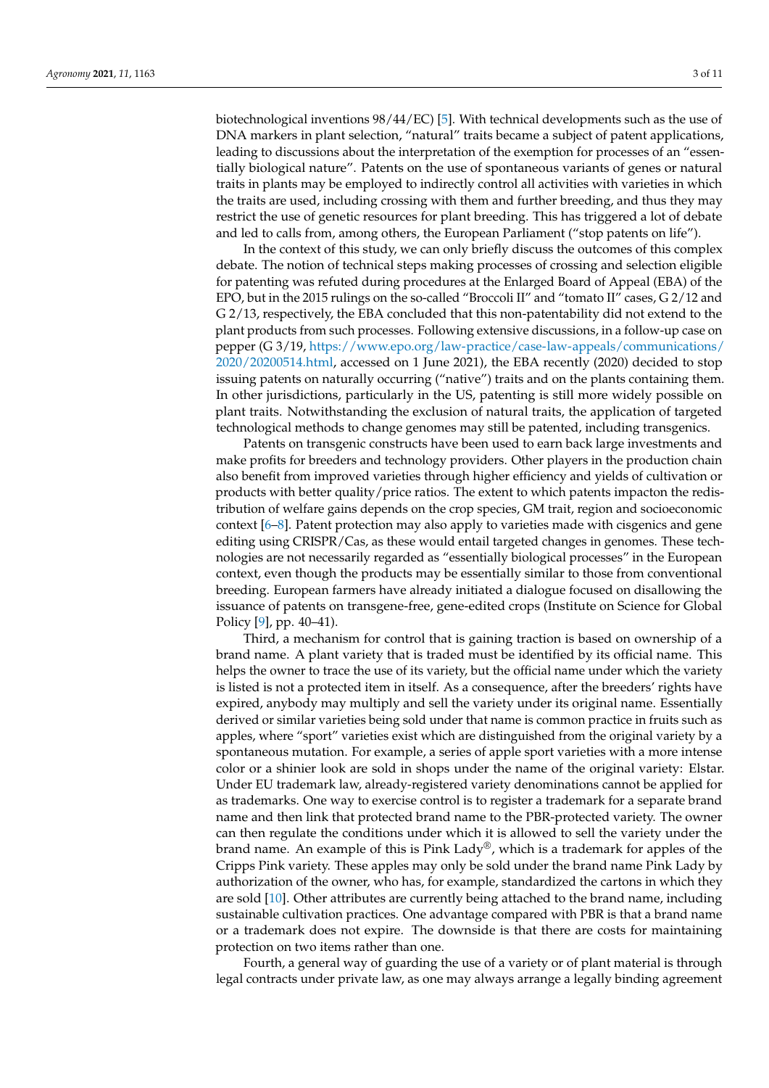biotechnological inventions 98/44/EC) [\[5\]](#page-9-3). With technical developments such as the use of DNA markers in plant selection, "natural" traits became a subject of patent applications, leading to discussions about the interpretation of the exemption for processes of an "essentially biological nature". Patents on the use of spontaneous variants of genes or natural traits in plants may be employed to indirectly control all activities with varieties in which the traits are used, including crossing with them and further breeding, and thus they may restrict the use of genetic resources for plant breeding. This has triggered a lot of debate and led to calls from, among others, the European Parliament ("stop patents on life").

In the context of this study, we can only briefly discuss the outcomes of this complex debate. The notion of technical steps making processes of crossing and selection eligible for patenting was refuted during procedures at the Enlarged Board of Appeal (EBA) of the EPO, but in the 2015 rulings on the so-called "Broccoli II" and "tomato II" cases, G 2/12 and G 2/13, respectively, the EBA concluded that this non-patentability did not extend to the plant products from such processes. Following extensive discussions, in a follow-up case on pepper (G 3/19, [https://www.epo.org/law-practice/case-law-appeals/communications/](https://www.epo.org/law-practice/case-law-appeals/communications/2020/20200514.html) [2020/20200514.html,](https://www.epo.org/law-practice/case-law-appeals/communications/2020/20200514.html) accessed on 1 June 2021), the EBA recently (2020) decided to stop issuing patents on naturally occurring ("native") traits and on the plants containing them. In other jurisdictions, particularly in the US, patenting is still more widely possible on plant traits. Notwithstanding the exclusion of natural traits, the application of targeted technological methods to change genomes may still be patented, including transgenics.

Patents on transgenic constructs have been used to earn back large investments and make profits for breeders and technology providers. Other players in the production chain also benefit from improved varieties through higher efficiency and yields of cultivation or products with better quality/price ratios. The extent to which patents impacton the redistribution of welfare gains depends on the crop species, GM trait, region and socioeconomic context [\[6](#page-9-4)[–8\]](#page-9-5). Patent protection may also apply to varieties made with cisgenics and gene editing using CRISPR/Cas, as these would entail targeted changes in genomes. These technologies are not necessarily regarded as "essentially biological processes" in the European context, even though the products may be essentially similar to those from conventional breeding. European farmers have already initiated a dialogue focused on disallowing the issuance of patents on transgene-free, gene-edited crops (Institute on Science for Global Policy [\[9\]](#page-9-6), pp. 40–41).

Third, a mechanism for control that is gaining traction is based on ownership of a brand name. A plant variety that is traded must be identified by its official name. This helps the owner to trace the use of its variety, but the official name under which the variety is listed is not a protected item in itself. As a consequence, after the breeders' rights have expired, anybody may multiply and sell the variety under its original name. Essentially derived or similar varieties being sold under that name is common practice in fruits such as apples, where "sport" varieties exist which are distinguished from the original variety by a spontaneous mutation. For example, a series of apple sport varieties with a more intense color or a shinier look are sold in shops under the name of the original variety: Elstar. Under EU trademark law, already-registered variety denominations cannot be applied for as trademarks. One way to exercise control is to register a trademark for a separate brand name and then link that protected brand name to the PBR-protected variety. The owner can then regulate the conditions under which it is allowed to sell the variety under the brand name. An example of this is Pink Lady®, which is a trademark for apples of the Cripps Pink variety. These apples may only be sold under the brand name Pink Lady by authorization of the owner, who has, for example, standardized the cartons in which they are sold [\[10\]](#page-9-7). Other attributes are currently being attached to the brand name, including sustainable cultivation practices. One advantage compared with PBR is that a brand name or a trademark does not expire. The downside is that there are costs for maintaining protection on two items rather than one.

Fourth, a general way of guarding the use of a variety or of plant material is through legal contracts under private law, as one may always arrange a legally binding agreement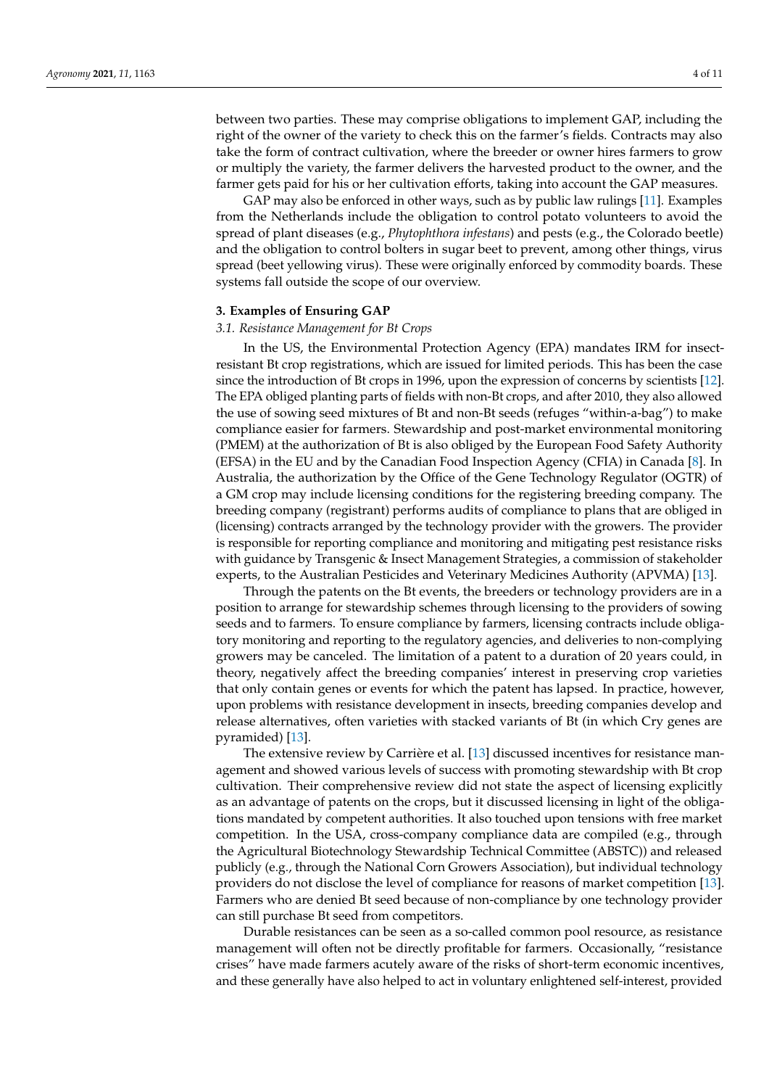between two parties. These may comprise obligations to implement GAP, including the right of the owner of the variety to check this on the farmer's fields. Contracts may also take the form of contract cultivation, where the breeder or owner hires farmers to grow or multiply the variety, the farmer delivers the harvested product to the owner, and the farmer gets paid for his or her cultivation efforts, taking into account the GAP measures.

GAP may also be enforced in other ways, such as by public law rulings [\[11\]](#page-9-8). Examples from the Netherlands include the obligation to control potato volunteers to avoid the spread of plant diseases (e.g., *Phytophthora infestans*) and pests (e.g., the Colorado beetle) and the obligation to control bolters in sugar beet to prevent, among other things, virus spread (beet yellowing virus). These were originally enforced by commodity boards. These systems fall outside the scope of our overview.

#### **3. Examples of Ensuring GAP**

#### <span id="page-3-0"></span>*3.1. Resistance Management for Bt Crops*

In the US, the Environmental Protection Agency (EPA) mandates IRM for insectresistant Bt crop registrations, which are issued for limited periods. This has been the case since the introduction of Bt crops in 1996, upon the expression of concerns by scientists [\[12\]](#page-9-9). The EPA obliged planting parts of fields with non-Bt crops, and after 2010, they also allowed the use of sowing seed mixtures of Bt and non-Bt seeds (refuges "within-a-bag") to make compliance easier for farmers. Stewardship and post-market environmental monitoring (PMEM) at the authorization of Bt is also obliged by the European Food Safety Authority (EFSA) in the EU and by the Canadian Food Inspection Agency (CFIA) in Canada [\[8\]](#page-9-5). In Australia, the authorization by the Office of the Gene Technology Regulator (OGTR) of a GM crop may include licensing conditions for the registering breeding company. The breeding company (registrant) performs audits of compliance to plans that are obliged in (licensing) contracts arranged by the technology provider with the growers. The provider is responsible for reporting compliance and monitoring and mitigating pest resistance risks with guidance by Transgenic & Insect Management Strategies, a commission of stakeholder experts, to the Australian Pesticides and Veterinary Medicines Authority (APVMA) [\[13\]](#page-9-10).

Through the patents on the Bt events, the breeders or technology providers are in a position to arrange for stewardship schemes through licensing to the providers of sowing seeds and to farmers. To ensure compliance by farmers, licensing contracts include obligatory monitoring and reporting to the regulatory agencies, and deliveries to non-complying growers may be canceled. The limitation of a patent to a duration of 20 years could, in theory, negatively affect the breeding companies' interest in preserving crop varieties that only contain genes or events for which the patent has lapsed. In practice, however, upon problems with resistance development in insects, breeding companies develop and release alternatives, often varieties with stacked variants of Bt (in which Cry genes are pyramided) [\[13\]](#page-9-10).

The extensive review by Carrière et al. [\[13\]](#page-9-10) discussed incentives for resistance management and showed various levels of success with promoting stewardship with Bt crop cultivation. Their comprehensive review did not state the aspect of licensing explicitly as an advantage of patents on the crops, but it discussed licensing in light of the obligations mandated by competent authorities. It also touched upon tensions with free market competition. In the USA, cross-company compliance data are compiled (e.g., through the Agricultural Biotechnology Stewardship Technical Committee (ABSTC)) and released publicly (e.g., through the National Corn Growers Association), but individual technology providers do not disclose the level of compliance for reasons of market competition [\[13\]](#page-9-10). Farmers who are denied Bt seed because of non-compliance by one technology provider can still purchase Bt seed from competitors.

Durable resistances can be seen as a so-called common pool resource, as resistance management will often not be directly profitable for farmers. Occasionally, "resistance crises" have made farmers acutely aware of the risks of short-term economic incentives, and these generally have also helped to act in voluntary enlightened self-interest, provided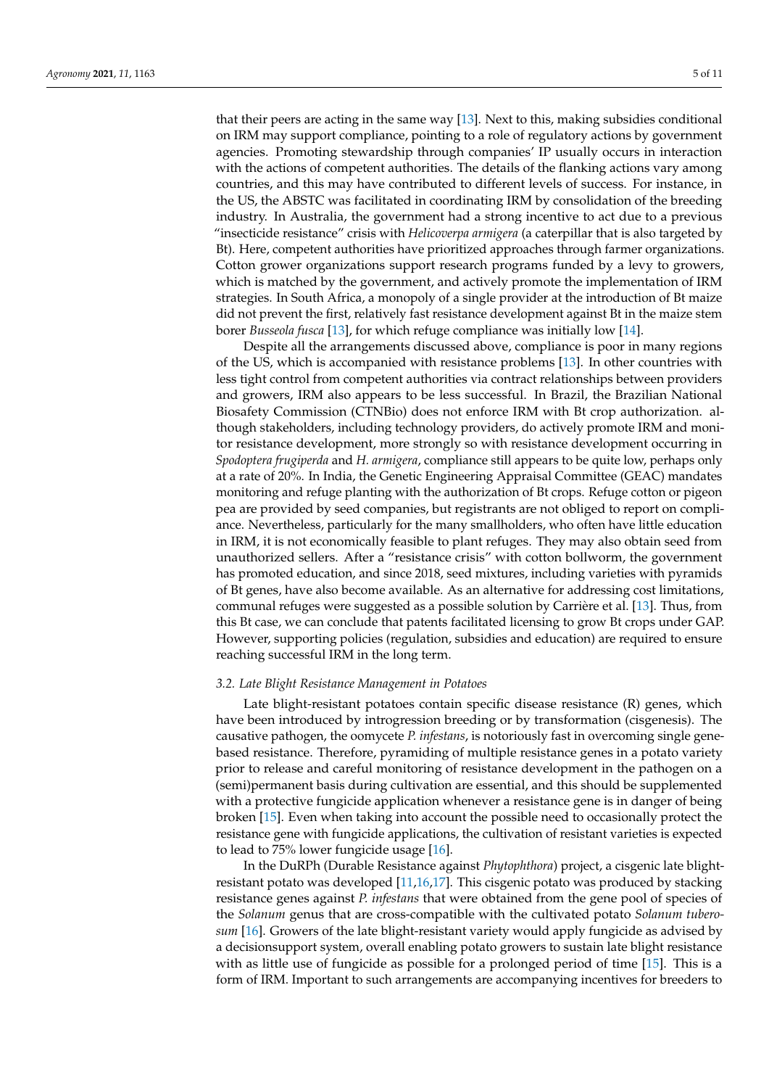that their peers are acting in the same way [\[13\]](#page-9-10). Next to this, making subsidies conditional on IRM may support compliance, pointing to a role of regulatory actions by government agencies. Promoting stewardship through companies' IP usually occurs in interaction with the actions of competent authorities. The details of the flanking actions vary among countries, and this may have contributed to different levels of success. For instance, in the US, the ABSTC was facilitated in coordinating IRM by consolidation of the breeding industry. In Australia, the government had a strong incentive to act due to a previous "insecticide resistance" crisis with *Helicoverpa armigera* (a caterpillar that is also targeted by Bt). Here, competent authorities have prioritized approaches through farmer organizations. Cotton grower organizations support research programs funded by a levy to growers, which is matched by the government, and actively promote the implementation of IRM strategies. In South Africa, a monopoly of a single provider at the introduction of Bt maize

borer *Busseola fusca* [\[13\]](#page-9-10), for which refuge compliance was initially low [\[14\]](#page-9-11). Despite all the arrangements discussed above, compliance is poor in many regions of the US, which is accompanied with resistance problems [\[13\]](#page-9-10). In other countries with less tight control from competent authorities via contract relationships between providers and growers, IRM also appears to be less successful. In Brazil, the Brazilian National Biosafety Commission (CTNBio) does not enforce IRM with Bt crop authorization. although stakeholders, including technology providers, do actively promote IRM and monitor resistance development, more strongly so with resistance development occurring in *Spodoptera frugiperda* and *H. armigera*, compliance still appears to be quite low, perhaps only at a rate of 20%. In India, the Genetic Engineering Appraisal Committee (GEAC) mandates monitoring and refuge planting with the authorization of Bt crops. Refuge cotton or pigeon pea are provided by seed companies, but registrants are not obliged to report on compliance. Nevertheless, particularly for the many smallholders, who often have little education in IRM, it is not economically feasible to plant refuges. They may also obtain seed from unauthorized sellers. After a "resistance crisis" with cotton bollworm, the government has promoted education, and since 2018, seed mixtures, including varieties with pyramids of Bt genes, have also become available. As an alternative for addressing cost limitations, communal refuges were suggested as a possible solution by Carrière et al. [\[13\]](#page-9-10). Thus, from this Bt case, we can conclude that patents facilitated licensing to grow Bt crops under GAP. However, supporting policies (regulation, subsidies and education) are required to ensure reaching successful IRM in the long term.

did not prevent the first, relatively fast resistance development against Bt in the maize stem

# <span id="page-4-0"></span>*3.2. Late Blight Resistance Management in Potatoes*

Late blight-resistant potatoes contain specific disease resistance (R) genes, which have been introduced by introgression breeding or by transformation (cisgenesis). The causative pathogen, the oomycete *P. infestans*, is notoriously fast in overcoming single genebased resistance. Therefore, pyramiding of multiple resistance genes in a potato variety prior to release and careful monitoring of resistance development in the pathogen on a (semi)permanent basis during cultivation are essential, and this should be supplemented with a protective fungicide application whenever a resistance gene is in danger of being broken [\[15\]](#page-9-12). Even when taking into account the possible need to occasionally protect the resistance gene with fungicide applications, the cultivation of resistant varieties is expected to lead to 75% lower fungicide usage [\[16\]](#page-9-13).

In the DuRPh (Durable Resistance against *Phytophthora*) project, a cisgenic late blightresistant potato was developed [\[11,](#page-9-8)[16,](#page-9-13)[17\]](#page-9-14). This cisgenic potato was produced by stacking resistance genes against *P. infestans* that were obtained from the gene pool of species of the *Solanum* genus that are cross-compatible with the cultivated potato *Solanum tuberosum* [\[16\]](#page-9-13). Growers of the late blight-resistant variety would apply fungicide as advised by a decisionsupport system, overall enabling potato growers to sustain late blight resistance with as little use of fungicide as possible for a prolonged period of time [\[15\]](#page-9-12). This is a form of IRM. Important to such arrangements are accompanying incentives for breeders to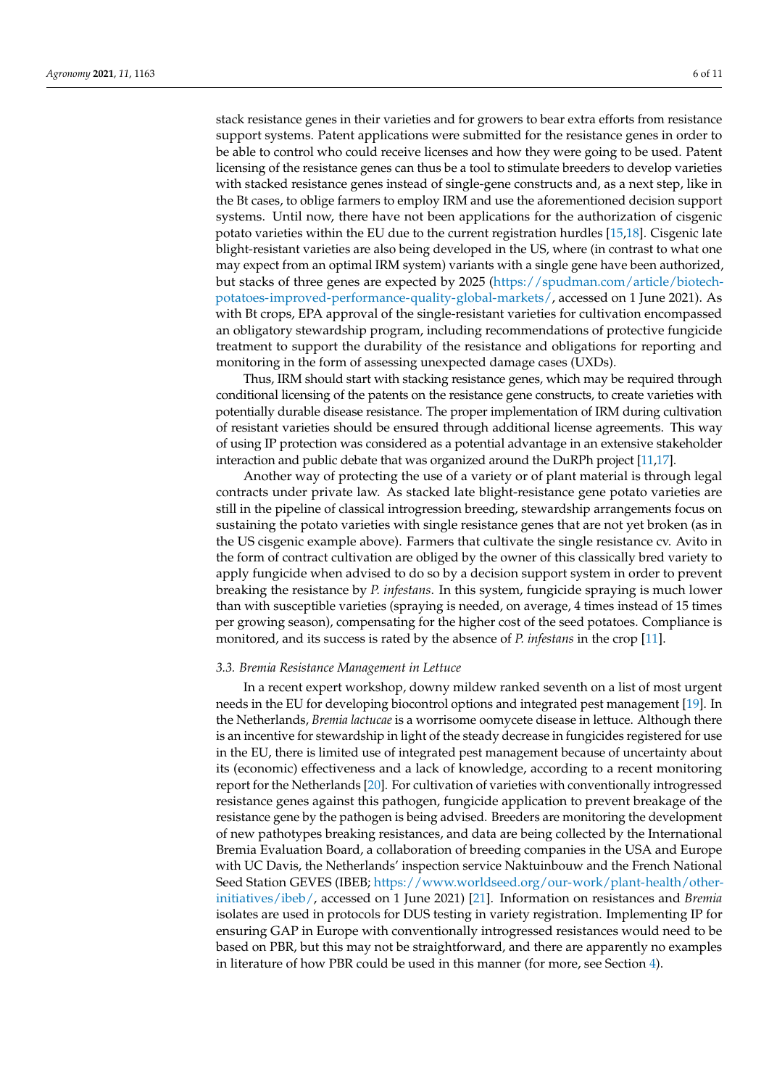stack resistance genes in their varieties and for growers to bear extra efforts from resistance support systems. Patent applications were submitted for the resistance genes in order to be able to control who could receive licenses and how they were going to be used. Patent licensing of the resistance genes can thus be a tool to stimulate breeders to develop varieties with stacked resistance genes instead of single-gene constructs and, as a next step, like in the Bt cases, to oblige farmers to employ IRM and use the aforementioned decision support systems. Until now, there have not been applications for the authorization of cisgenic potato varieties within the EU due to the current registration hurdles [\[15,](#page-9-12)[18\]](#page-9-15). Cisgenic late blight-resistant varieties are also being developed in the US, where (in contrast to what one may expect from an optimal IRM system) variants with a single gene have been authorized, but stacks of three genes are expected by 2025 [\(https://spudman.com/article/biotech](https://spudman.com/article/biotech-potatoes-improved-performance-quality-global-markets/)[potatoes-improved-performance-quality-global-markets/,](https://spudman.com/article/biotech-potatoes-improved-performance-quality-global-markets/) accessed on 1 June 2021). As with Bt crops, EPA approval of the single-resistant varieties for cultivation encompassed an obligatory stewardship program, including recommendations of protective fungicide treatment to support the durability of the resistance and obligations for reporting and monitoring in the form of assessing unexpected damage cases (UXDs).

Thus, IRM should start with stacking resistance genes, which may be required through conditional licensing of the patents on the resistance gene constructs, to create varieties with potentially durable disease resistance. The proper implementation of IRM during cultivation of resistant varieties should be ensured through additional license agreements. This way of using IP protection was considered as a potential advantage in an extensive stakeholder interaction and public debate that was organized around the DuRPh project [\[11,](#page-9-8)[17\]](#page-9-14).

Another way of protecting the use of a variety or of plant material is through legal contracts under private law. As stacked late blight-resistance gene potato varieties are still in the pipeline of classical introgression breeding, stewardship arrangements focus on sustaining the potato varieties with single resistance genes that are not yet broken (as in the US cisgenic example above). Farmers that cultivate the single resistance cv. Avito in the form of contract cultivation are obliged by the owner of this classically bred variety to apply fungicide when advised to do so by a decision support system in order to prevent breaking the resistance by *P. infestans*. In this system, fungicide spraying is much lower than with susceptible varieties (spraying is needed, on average, 4 times instead of 15 times per growing season), compensating for the higher cost of the seed potatoes. Compliance is monitored, and its success is rated by the absence of *P. infestans* in the crop [\[11\]](#page-9-8).

#### *3.3. Bremia Resistance Management in Lettuce*

In a recent expert workshop, downy mildew ranked seventh on a list of most urgent needs in the EU for developing biocontrol options and integrated pest management [\[19\]](#page-9-16). In the Netherlands, *Bremia lactucae* is a worrisome oomycete disease in lettuce. Although there is an incentive for stewardship in light of the steady decrease in fungicides registered for use in the EU, there is limited use of integrated pest management because of uncertainty about its (economic) effectiveness and a lack of knowledge, according to a recent monitoring report for the Netherlands [\[20\]](#page-9-17). For cultivation of varieties with conventionally introgressed resistance genes against this pathogen, fungicide application to prevent breakage of the resistance gene by the pathogen is being advised. Breeders are monitoring the development of new pathotypes breaking resistances, and data are being collected by the International Bremia Evaluation Board, a collaboration of breeding companies in the USA and Europe with UC Davis, the Netherlands' inspection service Naktuinbouw and the French National Seed Station GEVES (IBEB; [https://www.worldseed.org/our-work/plant-health/other](https://www.worldseed.org/our-work/plant-health/other-initiatives/ibeb/)[initiatives/ibeb/,](https://www.worldseed.org/our-work/plant-health/other-initiatives/ibeb/) accessed on 1 June 2021) [\[21\]](#page-10-0). Information on resistances and *Bremia* isolates are used in protocols for DUS testing in variety registration. Implementing IP for ensuring GAP in Europe with conventionally introgressed resistances would need to be based on PBR, but this may not be straightforward, and there are apparently no examples in literature of how PBR could be used in this manner (for more, see Section [4\)](#page-7-0).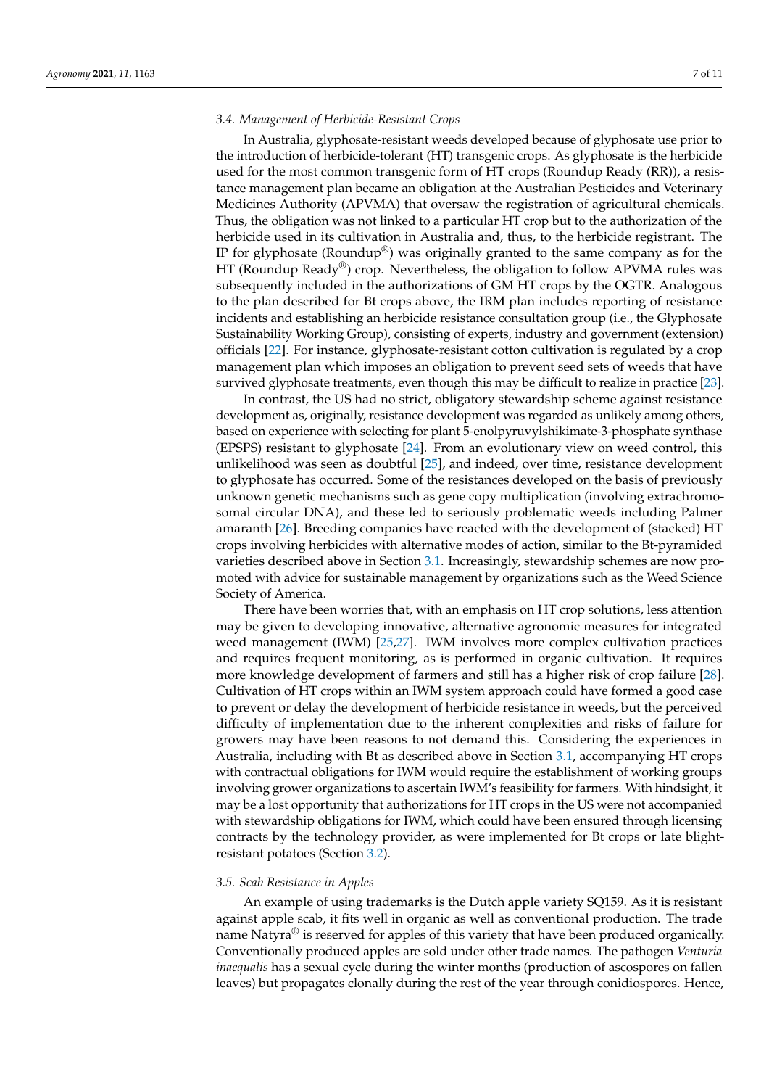### *3.4. Management of Herbicide-Resistant Crops*

In Australia, glyphosate-resistant weeds developed because of glyphosate use prior to the introduction of herbicide-tolerant (HT) transgenic crops. As glyphosate is the herbicide used for the most common transgenic form of HT crops (Roundup Ready (RR)), a resistance management plan became an obligation at the Australian Pesticides and Veterinary Medicines Authority (APVMA) that oversaw the registration of agricultural chemicals. Thus, the obligation was not linked to a particular HT crop but to the authorization of the herbicide used in its cultivation in Australia and, thus, to the herbicide registrant. The IP for glyphosate (Roundup<sup>®</sup>) was originally granted to the same company as for the HT (Roundup Ready®) crop. Nevertheless, the obligation to follow APVMA rules was subsequently included in the authorizations of GM HT crops by the OGTR. Analogous to the plan described for Bt crops above, the IRM plan includes reporting of resistance incidents and establishing an herbicide resistance consultation group (i.e., the Glyphosate Sustainability Working Group), consisting of experts, industry and government (extension) officials [\[22\]](#page-10-1). For instance, glyphosate-resistant cotton cultivation is regulated by a crop management plan which imposes an obligation to prevent seed sets of weeds that have survived glyphosate treatments, even though this may be difficult to realize in practice [\[23\]](#page-10-2).

In contrast, the US had no strict, obligatory stewardship scheme against resistance development as, originally, resistance development was regarded as unlikely among others, based on experience with selecting for plant 5-enolpyruvylshikimate-3-phosphate synthase (EPSPS) resistant to glyphosate [\[24\]](#page-10-3). From an evolutionary view on weed control, this unlikelihood was seen as doubtful [\[25\]](#page-10-4), and indeed, over time, resistance development to glyphosate has occurred. Some of the resistances developed on the basis of previously unknown genetic mechanisms such as gene copy multiplication (involving extrachromosomal circular DNA), and these led to seriously problematic weeds including Palmer amaranth [\[26\]](#page-10-5). Breeding companies have reacted with the development of (stacked) HT crops involving herbicides with alternative modes of action, similar to the Bt-pyramided varieties described above in Section [3.1.](#page-3-0) Increasingly, stewardship schemes are now promoted with advice for sustainable management by organizations such as the Weed Science Society of America.

There have been worries that, with an emphasis on HT crop solutions, less attention may be given to developing innovative, alternative agronomic measures for integrated weed management (IWM) [\[25](#page-10-4)[,27\]](#page-10-6). IWM involves more complex cultivation practices and requires frequent monitoring, as is performed in organic cultivation. It requires more knowledge development of farmers and still has a higher risk of crop failure [\[28\]](#page-10-7). Cultivation of HT crops within an IWM system approach could have formed a good case to prevent or delay the development of herbicide resistance in weeds, but the perceived difficulty of implementation due to the inherent complexities and risks of failure for growers may have been reasons to not demand this. Considering the experiences in Australia, including with Bt as described above in Section [3.1,](#page-3-0) accompanying HT crops with contractual obligations for IWM would require the establishment of working groups involving grower organizations to ascertain IWM's feasibility for farmers. With hindsight, it may be a lost opportunity that authorizations for HT crops in the US were not accompanied with stewardship obligations for IWM, which could have been ensured through licensing contracts by the technology provider, as were implemented for Bt crops or late blightresistant potatoes (Section [3.2\)](#page-4-0).

# *3.5. Scab Resistance in Apples*

An example of using trademarks is the Dutch apple variety SQ159. As it is resistant against apple scab, it fits well in organic as well as conventional production. The trade name Natyra<sup>®</sup> is reserved for apples of this variety that have been produced organically. Conventionally produced apples are sold under other trade names. The pathogen *Venturia inaequalis* has a sexual cycle during the winter months (production of ascospores on fallen leaves) but propagates clonally during the rest of the year through conidiospores. Hence,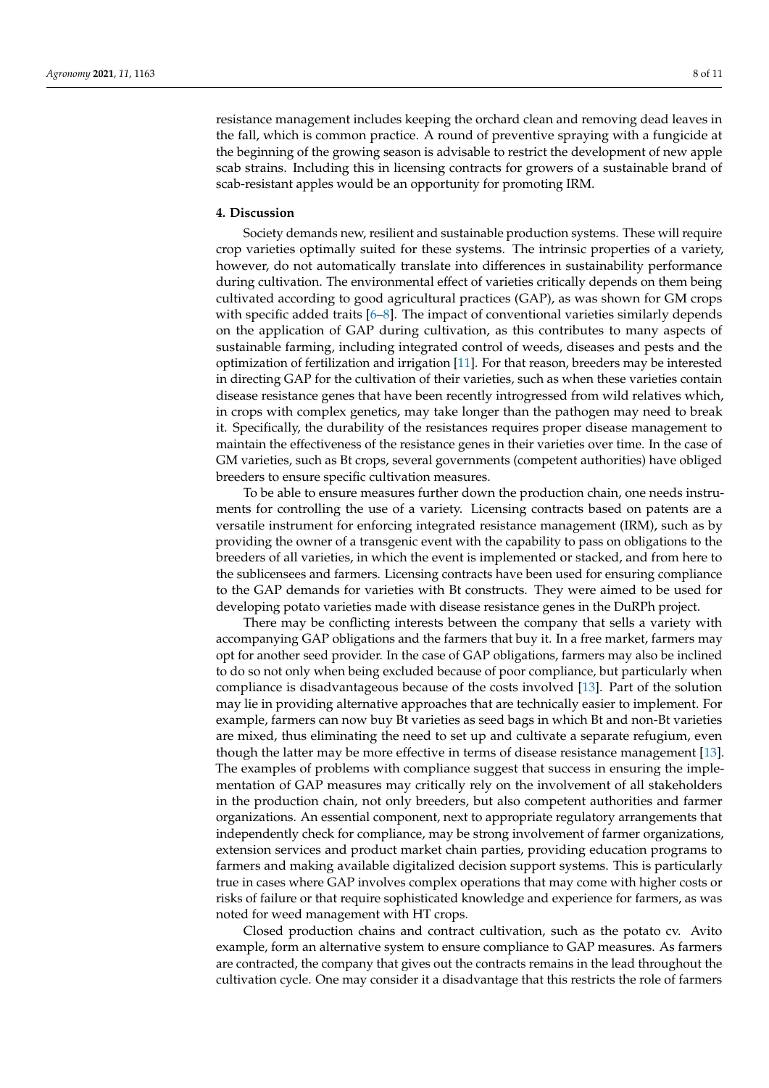resistance management includes keeping the orchard clean and removing dead leaves in the fall, which is common practice. A round of preventive spraying with a fungicide at the beginning of the growing season is advisable to restrict the development of new apple scab strains. Including this in licensing contracts for growers of a sustainable brand of scab-resistant apples would be an opportunity for promoting IRM.

# <span id="page-7-0"></span>**4. Discussion**

Society demands new, resilient and sustainable production systems. These will require crop varieties optimally suited for these systems. The intrinsic properties of a variety, however, do not automatically translate into differences in sustainability performance during cultivation. The environmental effect of varieties critically depends on them being cultivated according to good agricultural practices (GAP), as was shown for GM crops with specific added traits  $[6–8]$  $[6–8]$ . The impact of conventional varieties similarly depends on the application of GAP during cultivation, as this contributes to many aspects of sustainable farming, including integrated control of weeds, diseases and pests and the optimization of fertilization and irrigation [\[11\]](#page-9-8). For that reason, breeders may be interested in directing GAP for the cultivation of their varieties, such as when these varieties contain disease resistance genes that have been recently introgressed from wild relatives which, in crops with complex genetics, may take longer than the pathogen may need to break it. Specifically, the durability of the resistances requires proper disease management to maintain the effectiveness of the resistance genes in their varieties over time. In the case of GM varieties, such as Bt crops, several governments (competent authorities) have obliged breeders to ensure specific cultivation measures.

To be able to ensure measures further down the production chain, one needs instruments for controlling the use of a variety. Licensing contracts based on patents are a versatile instrument for enforcing integrated resistance management (IRM), such as by providing the owner of a transgenic event with the capability to pass on obligations to the breeders of all varieties, in which the event is implemented or stacked, and from here to the sublicensees and farmers. Licensing contracts have been used for ensuring compliance to the GAP demands for varieties with Bt constructs. They were aimed to be used for developing potato varieties made with disease resistance genes in the DuRPh project.

There may be conflicting interests between the company that sells a variety with accompanying GAP obligations and the farmers that buy it. In a free market, farmers may opt for another seed provider. In the case of GAP obligations, farmers may also be inclined to do so not only when being excluded because of poor compliance, but particularly when compliance is disadvantageous because of the costs involved [\[13\]](#page-9-10). Part of the solution may lie in providing alternative approaches that are technically easier to implement. For example, farmers can now buy Bt varieties as seed bags in which Bt and non-Bt varieties are mixed, thus eliminating the need to set up and cultivate a separate refugium, even though the latter may be more effective in terms of disease resistance management [\[13\]](#page-9-10). The examples of problems with compliance suggest that success in ensuring the implementation of GAP measures may critically rely on the involvement of all stakeholders in the production chain, not only breeders, but also competent authorities and farmer organizations. An essential component, next to appropriate regulatory arrangements that independently check for compliance, may be strong involvement of farmer organizations, extension services and product market chain parties, providing education programs to farmers and making available digitalized decision support systems. This is particularly true in cases where GAP involves complex operations that may come with higher costs or risks of failure or that require sophisticated knowledge and experience for farmers, as was noted for weed management with HT crops.

Closed production chains and contract cultivation, such as the potato cv. Avito example, form an alternative system to ensure compliance to GAP measures. As farmers are contracted, the company that gives out the contracts remains in the lead throughout the cultivation cycle. One may consider it a disadvantage that this restricts the role of farmers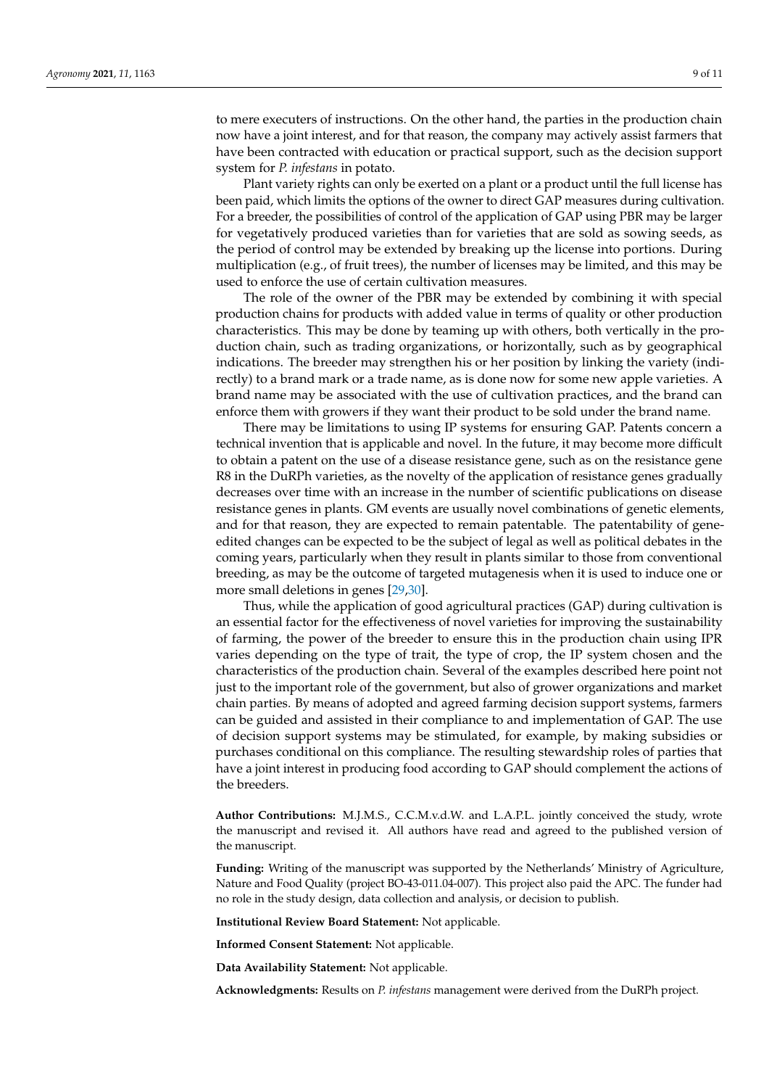to mere executers of instructions. On the other hand, the parties in the production chain now have a joint interest, and for that reason, the company may actively assist farmers that have been contracted with education or practical support, such as the decision support system for *P. infestans* in potato.

Plant variety rights can only be exerted on a plant or a product until the full license has been paid, which limits the options of the owner to direct GAP measures during cultivation. For a breeder, the possibilities of control of the application of GAP using PBR may be larger for vegetatively produced varieties than for varieties that are sold as sowing seeds, as the period of control may be extended by breaking up the license into portions. During multiplication (e.g., of fruit trees), the number of licenses may be limited, and this may be used to enforce the use of certain cultivation measures.

The role of the owner of the PBR may be extended by combining it with special production chains for products with added value in terms of quality or other production characteristics. This may be done by teaming up with others, both vertically in the production chain, such as trading organizations, or horizontally, such as by geographical indications. The breeder may strengthen his or her position by linking the variety (indirectly) to a brand mark or a trade name, as is done now for some new apple varieties. A brand name may be associated with the use of cultivation practices, and the brand can enforce them with growers if they want their product to be sold under the brand name.

There may be limitations to using IP systems for ensuring GAP. Patents concern a technical invention that is applicable and novel. In the future, it may become more difficult to obtain a patent on the use of a disease resistance gene, such as on the resistance gene R8 in the DuRPh varieties, as the novelty of the application of resistance genes gradually decreases over time with an increase in the number of scientific publications on disease resistance genes in plants. GM events are usually novel combinations of genetic elements, and for that reason, they are expected to remain patentable. The patentability of geneedited changes can be expected to be the subject of legal as well as political debates in the coming years, particularly when they result in plants similar to those from conventional breeding, as may be the outcome of targeted mutagenesis when it is used to induce one or more small deletions in genes [\[29,](#page-10-8)[30\]](#page-10-9).

Thus, while the application of good agricultural practices (GAP) during cultivation is an essential factor for the effectiveness of novel varieties for improving the sustainability of farming, the power of the breeder to ensure this in the production chain using IPR varies depending on the type of trait, the type of crop, the IP system chosen and the characteristics of the production chain. Several of the examples described here point not just to the important role of the government, but also of grower organizations and market chain parties. By means of adopted and agreed farming decision support systems, farmers can be guided and assisted in their compliance to and implementation of GAP. The use of decision support systems may be stimulated, for example, by making subsidies or purchases conditional on this compliance. The resulting stewardship roles of parties that have a joint interest in producing food according to GAP should complement the actions of the breeders.

**Author Contributions:** M.J.M.S., C.C.M.v.d.W. and L.A.P.L. jointly conceived the study, wrote the manuscript and revised it. All authors have read and agreed to the published version of the manuscript.

**Funding:** Writing of the manuscript was supported by the Netherlands' Ministry of Agriculture, Nature and Food Quality (project BO-43-011.04-007). This project also paid the APC. The funder had no role in the study design, data collection and analysis, or decision to publish.

**Institutional Review Board Statement:** Not applicable.

**Informed Consent Statement:** Not applicable.

**Data Availability Statement:** Not applicable.

**Acknowledgments:** Results on *P. infestans* management were derived from the DuRPh project.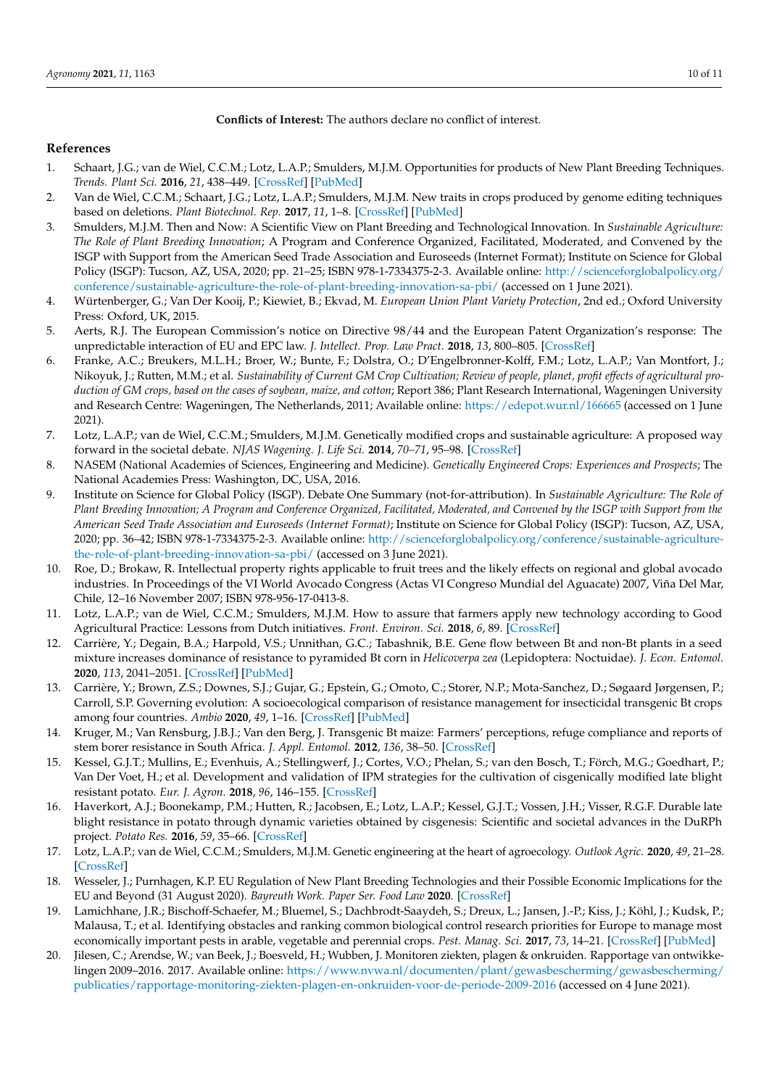# **Conflicts of Interest:** The authors declare no conflict of interest.

# **References**

- <span id="page-9-0"></span>1. Schaart, J.G.; van de Wiel, C.C.M.; Lotz, L.A.P.; Smulders, M.J.M. Opportunities for products of New Plant Breeding Techniques. *Trends. Plant Sci.* **2016**, *21*, 438–449. [\[CrossRef\]](http://doi.org/10.1016/j.tplants.2015.11.006) [\[PubMed\]](http://www.ncbi.nlm.nih.gov/pubmed/26654659)
- 2. Van de Wiel, C.C.M.; Schaart, J.G.; Lotz, L.A.P.; Smulders, M.J.M. New traits in crops produced by genome editing techniques based on deletions. *Plant Biotechnol. Rep.* **2017**, *11*, 1–8. [\[CrossRef\]](http://doi.org/10.1007/s11816-017-0425-z) [\[PubMed\]](http://www.ncbi.nlm.nih.gov/pubmed/28386301)
- <span id="page-9-1"></span>3. Smulders, M.J.M. Then and Now: A Scientific View on Plant Breeding and Technological Innovation. In *Sustainable Agriculture: The Role of Plant Breeding Innovation*; A Program and Conference Organized, Facilitated, Moderated, and Convened by the ISGP with Support from the American Seed Trade Association and Euroseeds (Internet Format); Institute on Science for Global Policy (ISGP): Tucson, AZ, USA, 2020; pp. 21–25; ISBN 978-1-7334375-2-3. Available online: [http://scienceforglobalpolicy.org/](http://scienceforglobalpolicy.org/conference/sustainable-agriculture-the-role-of-plant-breeding-innovation-sa-pbi/) [conference/sustainable-agriculture-the-role-of-plant-breeding-innovation-sa-pbi/](http://scienceforglobalpolicy.org/conference/sustainable-agriculture-the-role-of-plant-breeding-innovation-sa-pbi/) (accessed on 1 June 2021).
- <span id="page-9-2"></span>4. Würtenberger, G.; Van Der Kooij, P.; Kiewiet, B.; Ekvad, M. *European Union Plant Variety Protection*, 2nd ed.; Oxford University Press: Oxford, UK, 2015.
- <span id="page-9-3"></span>5. Aerts, R.J. The European Commission's notice on Directive 98/44 and the European Patent Organization's response: The unpredictable interaction of EU and EPC law. *J. Intellect. Prop. Law Pract.* **2018**, *13*, 800–805. [\[CrossRef\]](http://doi.org/10.1093/jiplp/jpy058)
- <span id="page-9-4"></span>6. Franke, A.C.; Breukers, M.L.H.; Broer, W.; Bunte, F.; Dolstra, O.; D'Engelbronner-Kolff, F.M.; Lotz, L.A.P.; Van Montfort, J.; Nikoyuk, J.; Rutten, M.M.; et al. *Sustainability of Current GM Crop Cultivation; Review of people, planet, profit effects of agricultural production of GM crops, based on the cases of soybean, maize, and cotton*; Report 386; Plant Research International, Wageningen University and Research Centre: Wageningen, The Netherlands, 2011; Available online: <https://edepot.wur.nl/166665> (accessed on 1 June 2021).
- 7. Lotz, L.A.P.; van de Wiel, C.C.M.; Smulders, M.J.M. Genetically modified crops and sustainable agriculture: A proposed way forward in the societal debate. *NJAS Wagening. J. Life Sci.* **2014**, *70–71*, 95–98. [\[CrossRef\]](http://doi.org/10.1016/j.njas.2014.05.004)
- <span id="page-9-5"></span>8. NASEM (National Academies of Sciences, Engineering and Medicine). *Genetically Engineered Crops: Experiences and Prospects*; The National Academies Press: Washington, DC, USA, 2016.
- <span id="page-9-6"></span>9. Institute on Science for Global Policy (ISGP). Debate One Summary (not-for-attribution). In *Sustainable Agriculture: The Role of Plant Breeding Innovation; A Program and Conference Organized, Facilitated, Moderated, and Convened by the ISGP with Support from the American Seed Trade Association and Euroseeds (Internet Format)*; Institute on Science for Global Policy (ISGP): Tucson, AZ, USA, 2020; pp. 36–42; ISBN 978-1-7334375-2-3. Available online: [http://scienceforglobalpolicy.org/conference/sustainable-agriculture](http://scienceforglobalpolicy.org/conference/sustainable-agriculture-the-role-of-plant-breeding-innovation-sa-pbi/)[the-role-of-plant-breeding-innovation-sa-pbi/](http://scienceforglobalpolicy.org/conference/sustainable-agriculture-the-role-of-plant-breeding-innovation-sa-pbi/) (accessed on 3 June 2021).
- <span id="page-9-7"></span>10. Roe, D.; Brokaw, R. Intellectual property rights applicable to fruit trees and the likely effects on regional and global avocado industries. In Proceedings of the VI World Avocado Congress (Actas VI Congreso Mundial del Aguacate) 2007, Viña Del Mar, Chile, 12–16 November 2007; ISBN 978-956-17-0413-8.
- <span id="page-9-8"></span>11. Lotz, L.A.P.; van de Wiel, C.C.M.; Smulders, M.J.M. How to assure that farmers apply new technology according to Good Agricultural Practice: Lessons from Dutch initiatives. *Front. Environ. Sci.* **2018**, *6*, 89. [\[CrossRef\]](http://doi.org/10.3389/fenvs.2018.00089)
- <span id="page-9-9"></span>12. Carrière, Y.; Degain, B.A.; Harpold, V.S.; Unnithan, G.C.; Tabashnik, B.E. Gene flow between Bt and non-Bt plants in a seed mixture increases dominance of resistance to pyramided Bt corn in *Helicoverpa zea* (Lepidoptera: Noctuidae). *J. Econ. Entomol.* **2020**, *113*, 2041–2051. [\[CrossRef\]](http://doi.org/10.1093/jee/toaa138) [\[PubMed\]](http://www.ncbi.nlm.nih.gov/pubmed/32582955)
- <span id="page-9-10"></span>13. Carrière, Y.; Brown, Z.S.; Downes, S.J.; Gujar, G.; Epstein, G.; Omoto, C.; Storer, N.P.; Mota-Sanchez, D.; Søgaard Jørgensen, P.; Carroll, S.P. Governing evolution: A socioecological comparison of resistance management for insecticidal transgenic Bt crops among four countries. *Ambio* **2020**, *49*, 1–16. [\[CrossRef\]](http://doi.org/10.1007/s13280-019-01167-0) [\[PubMed\]](http://www.ncbi.nlm.nih.gov/pubmed/30903512)
- <span id="page-9-11"></span>14. Kruger, M.; Van Rensburg, J.B.J.; Van den Berg, J. Transgenic Bt maize: Farmers' perceptions, refuge compliance and reports of stem borer resistance in South Africa. *J. Appl. Entomol.* **2012**, *136*, 38–50. [\[CrossRef\]](http://doi.org/10.1111/j.1439-0418.2011.01616.x)
- <span id="page-9-12"></span>15. Kessel, G.J.T.; Mullins, E.; Evenhuis, A.; Stellingwerf, J.; Cortes, V.O.; Phelan, S.; van den Bosch, T.; Förch, M.G.; Goedhart, P.; Van Der Voet, H.; et al. Development and validation of IPM strategies for the cultivation of cisgenically modified late blight resistant potato. *Eur. J. Agron.* **2018**, *96*, 146–155. [\[CrossRef\]](http://doi.org/10.1016/j.eja.2018.01.012)
- <span id="page-9-13"></span>16. Haverkort, A.J.; Boonekamp, P.M.; Hutten, R.; Jacobsen, E.; Lotz, L.A.P.; Kessel, G.J.T.; Vossen, J.H.; Visser, R.G.F. Durable late blight resistance in potato through dynamic varieties obtained by cisgenesis: Scientific and societal advances in the DuRPh project. *Potato Res.* **2016**, *59*, 35–66. [\[CrossRef\]](http://doi.org/10.1007/s11540-015-9312-6)
- <span id="page-9-14"></span>17. Lotz, L.A.P.; van de Wiel, C.C.M.; Smulders, M.J.M. Genetic engineering at the heart of agroecology. *Outlook Agric.* **2020**, *49*, 21–28. [\[CrossRef\]](http://doi.org/10.1177/0030727020907619)
- <span id="page-9-15"></span>18. Wesseler, J.; Purnhagen, K.P. EU Regulation of New Plant Breeding Technologies and their Possible Economic Implications for the EU and Beyond (31 August 2020). *Bayreuth Work. Paper Ser. Food Law* **2020**. [\[CrossRef\]](http://doi.org/10.2139/ssrn.3685776)
- <span id="page-9-16"></span>19. Lamichhane, J.R.; Bischoff-Schaefer, M.; Bluemel, S.; Dachbrodt-Saaydeh, S.; Dreux, L.; Jansen, J.-P.; Kiss, J.; Köhl, J.; Kudsk, P.; Malausa, T.; et al. Identifying obstacles and ranking common biological control research priorities for Europe to manage most economically important pests in arable, vegetable and perennial crops. *Pest. Manag. Sci.* **2017**, *73*, 14–21. [\[CrossRef\]](http://doi.org/10.1002/ps.4423) [\[PubMed\]](http://www.ncbi.nlm.nih.gov/pubmed/27568588)
- <span id="page-9-17"></span>20. Jilesen, C.; Arendse, W.; van Beek, J.; Boesveld, H.; Wubben, J. Monitoren ziekten, plagen & onkruiden. Rapportage van ontwikkelingen 2009–2016. 2017. Available online: [https://www.nvwa.nl/documenten/plant/gewasbescherming/gewasbescherming/](https://www.nvwa.nl/documenten/plant/gewasbescherming/gewasbescherming/publicaties/rapportage-monitoring-ziekten-plagen-en-onkruiden-voor-de-periode-2009-2016) [publicaties/rapportage-monitoring-ziekten-plagen-en-onkruiden-voor-de-periode-2009-2016](https://www.nvwa.nl/documenten/plant/gewasbescherming/gewasbescherming/publicaties/rapportage-monitoring-ziekten-plagen-en-onkruiden-voor-de-periode-2009-2016) (accessed on 4 June 2021).